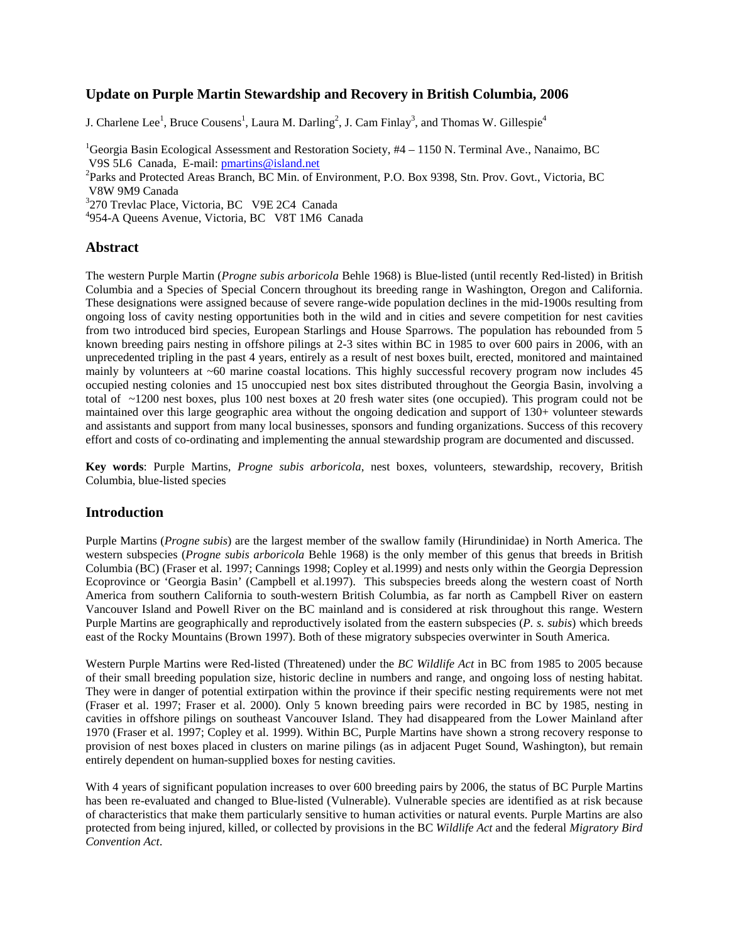# **Update on Purple Martin Stewardship and Recovery in British Columbia, 2006**

J. Charlene Lee<sup>1</sup>, Bruce Cousens<sup>1</sup>, Laura M. Darling<sup>2</sup>, J. Cam Finlay<sup>3</sup>, and Thomas W. Gillespie<sup>4</sup>

<sup>1</sup>Georgia Basin Ecological Assessment and Restoration Society, #4 – 1150 N. Terminal Ave., Nanaimo, BC V9S 5L6 Canada, E-mail: [pmartins@island.net](mailto:pmartins@island.net) <sup>2</sup>

Parks and Protected Areas Branch, BC Min. of Environment, P.O. Box 9398, Stn. Prov. Govt., Victoria, BC V8W 9M9 Canada

<sup>3</sup>270 Trevlac Place, Victoria, BC V9E 2C4 Canada

4 954-A Queens Avenue, Victoria, BC V8T 1M6 Canada

#### **Abstract**

The western Purple Martin (*Progne subis arboricola* Behle 1968) is Blue-listed (until recently Red-listed) in British Columbia and a Species of Special Concern throughout its breeding range in Washington, Oregon and California. These designations were assigned because of severe range-wide population declines in the mid-1900s resulting from ongoing loss of cavity nesting opportunities both in the wild and in cities and severe competition for nest cavities from two introduced bird species, European Starlings and House Sparrows. The population has rebounded from 5 known breeding pairs nesting in offshore pilings at 2-3 sites within BC in 1985 to over 600 pairs in 2006, with an unprecedented tripling in the past 4 years, entirely as a result of nest boxes built, erected, monitored and maintained mainly by volunteers at ~60 marine coastal locations. This highly successful recovery program now includes 45 occupied nesting colonies and 15 unoccupied nest box sites distributed throughout the Georgia Basin, involving a total of ~1200 nest boxes, plus 100 nest boxes at 20 fresh water sites (one occupied). This program could not be maintained over this large geographic area without the ongoing dedication and support of 130+ volunteer stewards and assistants and support from many local businesses, sponsors and funding organizations. Success of this recovery effort and costs of co-ordinating and implementing the annual stewardship program are documented and discussed.

**Key words**: Purple Martins, *Progne subis arboricola*, nest boxes, volunteers, stewardship, recovery, British Columbia, blue-listed species

# **Introduction**

Purple Martins (*Progne subis*) are the largest member of the swallow family (Hirundinidae) in North America. The western subspecies (*Progne subis arboricola* Behle 1968) is the only member of this genus that breeds in British Columbia (BC) (Fraser et al. 1997; Cannings 1998; Copley et al.1999) and nests only within the Georgia Depression Ecoprovince or 'Georgia Basin' (Campbell et al.1997). This subspecies breeds along the western coast of North America from southern California to south-western British Columbia, as far north as Campbell River on eastern Vancouver Island and Powell River on the BC mainland and is considered at risk throughout this range. Western Purple Martins are geographically and reproductively isolated from the eastern subspecies (*P. s. subis*) which breeds east of the Rocky Mountains (Brown 1997). Both of these migratory subspecies overwinter in South America.

Western Purple Martins were Red-listed (Threatened) under the *BC Wildlife Act* in BC from 1985 to 2005 because of their small breeding population size, historic decline in numbers and range, and ongoing loss of nesting habitat. They were in danger of potential extirpation within the province if their specific nesting requirements were not met (Fraser et al. 1997; Fraser et al. 2000). Only 5 known breeding pairs were recorded in BC by 1985, nesting in cavities in offshore pilings on southeast Vancouver Island. They had disappeared from the Lower Mainland after 1970 (Fraser et al. 1997; Copley et al. 1999). Within BC, Purple Martins have shown a strong recovery response to provision of nest boxes placed in clusters on marine pilings (as in adjacent Puget Sound, Washington), but remain entirely dependent on human-supplied boxes for nesting cavities.

With 4 years of significant population increases to over 600 breeding pairs by 2006, the status of BC Purple Martins has been re-evaluated and changed to Blue-listed (Vulnerable). Vulnerable species are identified as at risk because of characteristics that make them particularly sensitive to human activities or natural events. Purple Martins are also protected from being injured, killed, or collected by provisions in the BC *Wildlife Act* and the federal *Migratory Bird Convention Act*.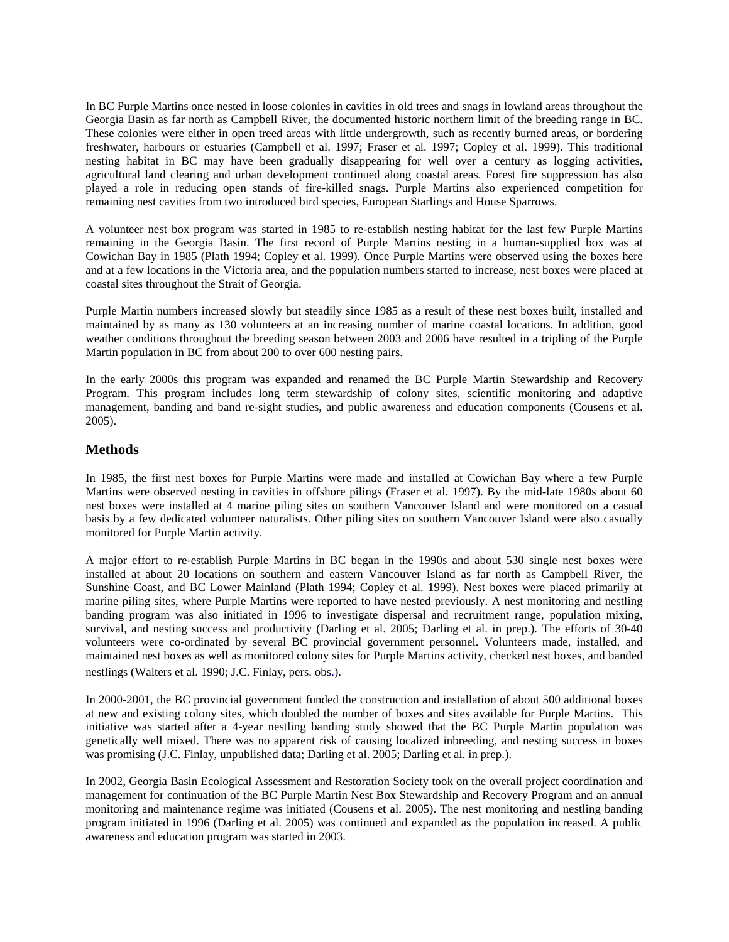In BC Purple Martins once nested in loose colonies in cavities in old trees and snags in lowland areas throughout the Georgia Basin as far north as Campbell River, the documented historic northern limit of the breeding range in BC. These colonies were either in open treed areas with little undergrowth, such as recently burned areas, or bordering freshwater, harbours or estuaries (Campbell et al. 1997; Fraser et al. 1997; Copley et al. 1999). This traditional nesting habitat in BC may have been gradually disappearing for well over a century as logging activities, agricultural land clearing and urban development continued along coastal areas. Forest fire suppression has also played a role in reducing open stands of fire-killed snags. Purple Martins also experienced competition for remaining nest cavities from two introduced bird species, European Starlings and House Sparrows.

A volunteer nest box program was started in 1985 to re-establish nesting habitat for the last few Purple Martins remaining in the Georgia Basin. The first record of Purple Martins nesting in a human-supplied box was at Cowichan Bay in 1985 (Plath 1994; Copley et al. 1999). Once Purple Martins were observed using the boxes here and at a few locations in the Victoria area, and the population numbers started to increase, nest boxes were placed at coastal sites throughout the Strait of Georgia.

Purple Martin numbers increased slowly but steadily since 1985 as a result of these nest boxes built, installed and maintained by as many as 130 volunteers at an increasing number of marine coastal locations. In addition, good weather conditions throughout the breeding season between 2003 and 2006 have resulted in a tripling of the Purple Martin population in BC from about 200 to over 600 nesting pairs.

In the early 2000s this program was expanded and renamed the BC Purple Martin Stewardship and Recovery Program. This program includes long term stewardship of colony sites, scientific monitoring and adaptive management, banding and band re-sight studies, and public awareness and education components (Cousens et al. 2005).

# **Methods**

In 1985, the first nest boxes for Purple Martins were made and installed at Cowichan Bay where a few Purple Martins were observed nesting in cavities in offshore pilings (Fraser et al. 1997). By the mid-late 1980s about 60 nest boxes were installed at 4 marine piling sites on southern Vancouver Island and were monitored on a casual basis by a few dedicated volunteer naturalists. Other piling sites on southern Vancouver Island were also casually monitored for Purple Martin activity.

A major effort to re-establish Purple Martins in BC began in the 1990s and about 530 single nest boxes were installed at about 20 locations on southern and eastern Vancouver Island as far north as Campbell River, the Sunshine Coast, and BC Lower Mainland (Plath 1994; Copley et al. 1999). Nest boxes were placed primarily at marine piling sites, where Purple Martins were reported to have nested previously. A nest monitoring and nestling banding program was also initiated in 1996 to investigate dispersal and recruitment range, population mixing, survival, and nesting success and productivity (Darling et al. 2005; Darling et al. in prep.). The efforts of 30-40 volunteers were co-ordinated by several BC provincial government personnel. Volunteers made, installed, and maintained nest boxes as well as monitored colony sites for Purple Martins activity, checked nest boxes, and banded nestlings (Walters et al. 1990; J.C. Finlay, pers. obs.).

In 2000-2001, the BC provincial government funded the construction and installation of about 500 additional boxes at new and existing colony sites, which doubled the number of boxes and sites available for Purple Martins. This initiative was started after a 4-year nestling banding study showed that the BC Purple Martin population was genetically well mixed. There was no apparent risk of causing localized inbreeding, and nesting success in boxes was promising (J.C. Finlay, unpublished data; Darling et al. 2005; Darling et al. in prep.).

In 2002, Georgia Basin Ecological Assessment and Restoration Society took on the overall project coordination and management for continuation of the BC Purple Martin Nest Box Stewardship and Recovery Program and an annual monitoring and maintenance regime was initiated (Cousens et al. 2005). The nest monitoring and nestling banding program initiated in 1996 (Darling et al. 2005) was continued and expanded as the population increased. A public awareness and education program was started in 2003.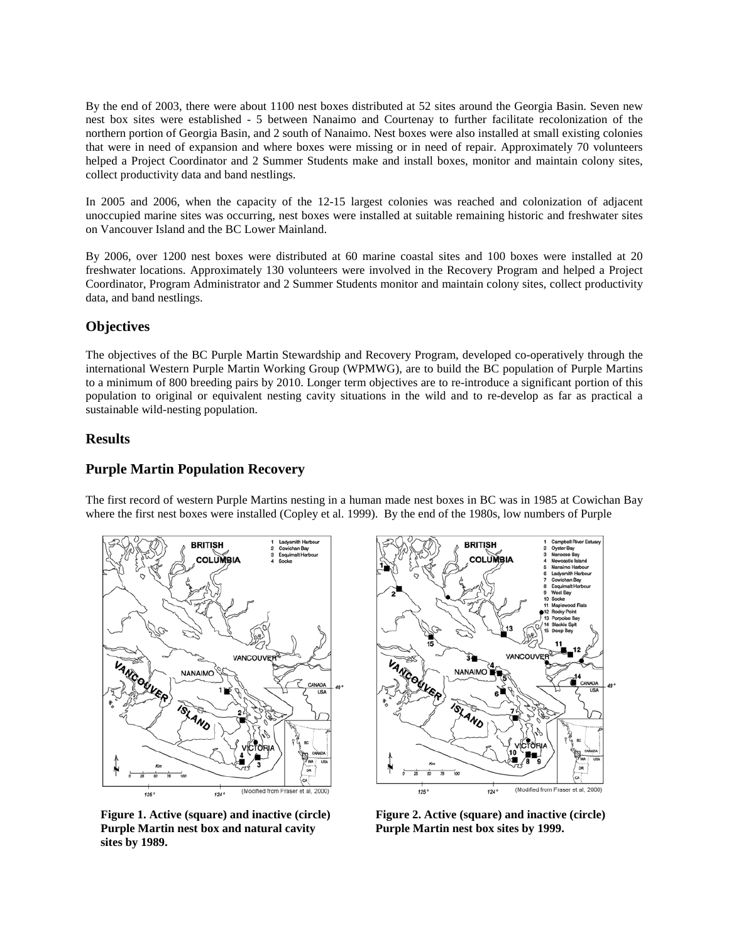By the end of 2003, there were about 1100 nest boxes distributed at 52 sites around the Georgia Basin. Seven new nest box sites were established - 5 between Nanaimo and Courtenay to further facilitate recolonization of the northern portion of Georgia Basin, and 2 south of Nanaimo. Nest boxes were also installed at small existing colonies that were in need of expansion and where boxes were missing or in need of repair. Approximately 70 volunteers helped a Project Coordinator and 2 Summer Students make and install boxes, monitor and maintain colony sites, collect productivity data and band nestlings.

In 2005 and 2006, when the capacity of the 12-15 largest colonies was reached and colonization of adjacent unoccupied marine sites was occurring, nest boxes were installed at suitable remaining historic and freshwater sites on Vancouver Island and the BC Lower Mainland.

By 2006, over 1200 nest boxes were distributed at 60 marine coastal sites and 100 boxes were installed at 20 freshwater locations. Approximately 130 volunteers were involved in the Recovery Program and helped a Project Coordinator, Program Administrator and 2 Summer Students monitor and maintain colony sites, collect productivity data, and band nestlings.

# **Objectives**

The objectives of the BC Purple Martin Stewardship and Recovery Program, developed co-operatively through the international Western Purple Martin Working Group (WPMWG), are to build the BC population of Purple Martins to a minimum of 800 breeding pairs by 2010. Longer term objectives are to re-introduce a significant portion of this population to original or equivalent nesting cavity situations in the wild and to re-develop as far as practical a sustainable wild-nesting population.

#### **Results**

#### **Purple Martin Population Recovery**

The first record of western Purple Martins nesting in a human made nest boxes in BC was in 1985 at Cowichan Bay where the first nest boxes were installed (Copley et al. 1999). By the end of the 1980s, low numbers of Purple



 **Figure 1. Active (square) and inactive (circle) Figure 2. Active (square) and inactive (circle) Purple Martin nest box and natural cavity Purple Martin nest box sites by 1999. sites by 1989.**

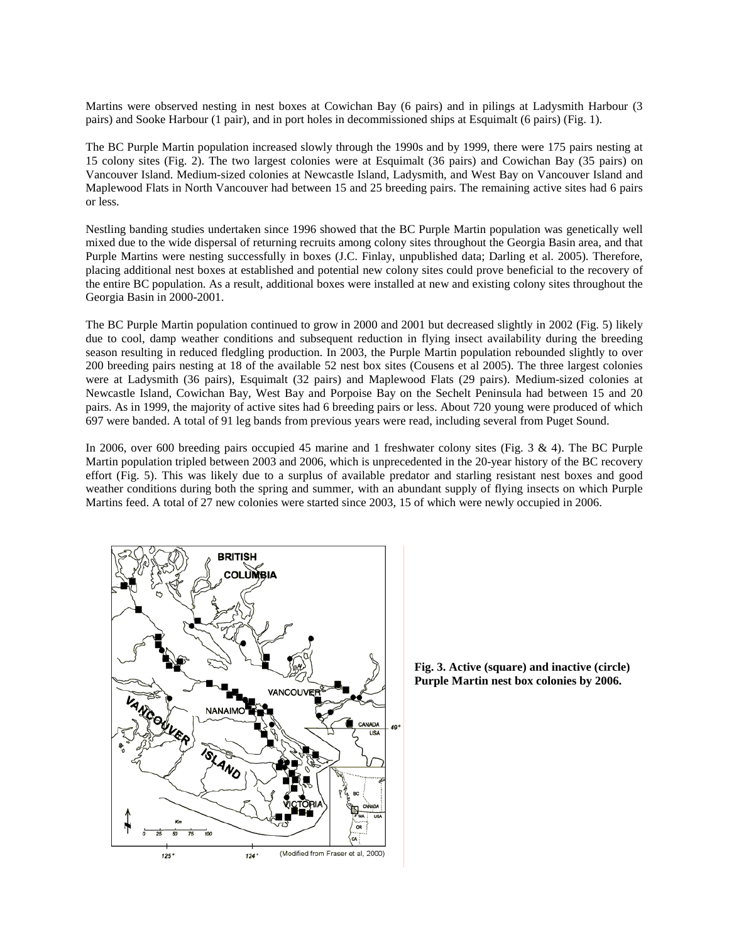Martins were observed nesting in nest boxes at Cowichan Bay (6 pairs) and in pilings at Ladysmith Harbour (3 pairs) and Sooke Harbour (1 pair), and in port holes in decommissioned ships at Esquimalt (6 pairs) (Fig. 1).

The BC Purple Martin population increased slowly through the 1990s and by 1999, there were 175 pairs nesting at 15 colony sites (Fig. 2). The two largest colonies were at Esquimalt (36 pairs) and Cowichan Bay (35 pairs) on Vancouver Island. Medium-sized colonies at Newcastle Island, Ladysmith, and West Bay on Vancouver Island and Maplewood Flats in North Vancouver had between 15 and 25 breeding pairs. The remaining active sites had 6 pairs or less.

Nestling banding studies undertaken since 1996 showed that the BC Purple Martin population was genetically well mixed due to the wide dispersal of returning recruits among colony sites throughout the Georgia Basin area, and that Purple Martins were nesting successfully in boxes (J.C. Finlay, unpublished data; Darling et al. 2005). Therefore, placing additional nest boxes at established and potential new colony sites could prove beneficial to the recovery of the entire BC population. As a result, additional boxes were installed at new and existing colony sites throughout the Georgia Basin in 2000-2001.

The BC Purple Martin population continued to grow in 2000 and 2001 but decreased slightly in 2002 (Fig. 5) likely due to cool, damp weather conditions and subsequent reduction in flying insect availability during the breeding season resulting in reduced fledgling production. In 2003, the Purple Martin population rebounded slightly to over 200 breeding pairs nesting at 18 of the available 52 nest box sites (Cousens et al 2005). The three largest colonies were at Ladysmith (36 pairs), Esquimalt (32 pairs) and Maplewood Flats (29 pairs). Medium-sized colonies at Newcastle Island, Cowichan Bay, West Bay and Porpoise Bay on the Sechelt Peninsula had between 15 and 20 pairs. As in 1999, the majority of active sites had 6 breeding pairs or less. About 720 young were produced of which 697 were banded. A total of 91 leg bands from previous years were read, including several from Puget Sound.

In 2006, over 600 breeding pairs occupied 45 marine and 1 freshwater colony sites (Fig. 3 & 4). The BC Purple Martin population tripled between 2003 and 2006, which is unprecedented in the 20-year history of the BC recovery effort (Fig. 5). This was likely due to a surplus of available predator and starling resistant nest boxes and good weather conditions during both the spring and summer, with an abundant supply of flying insects on which Purple Martins feed. A total of 27 new colonies were started since 2003, 15 of which were newly occupied in 2006.



**Fig. 3. Active (square) and inactive (circle) Purple Martin nest box colonies by 2006.**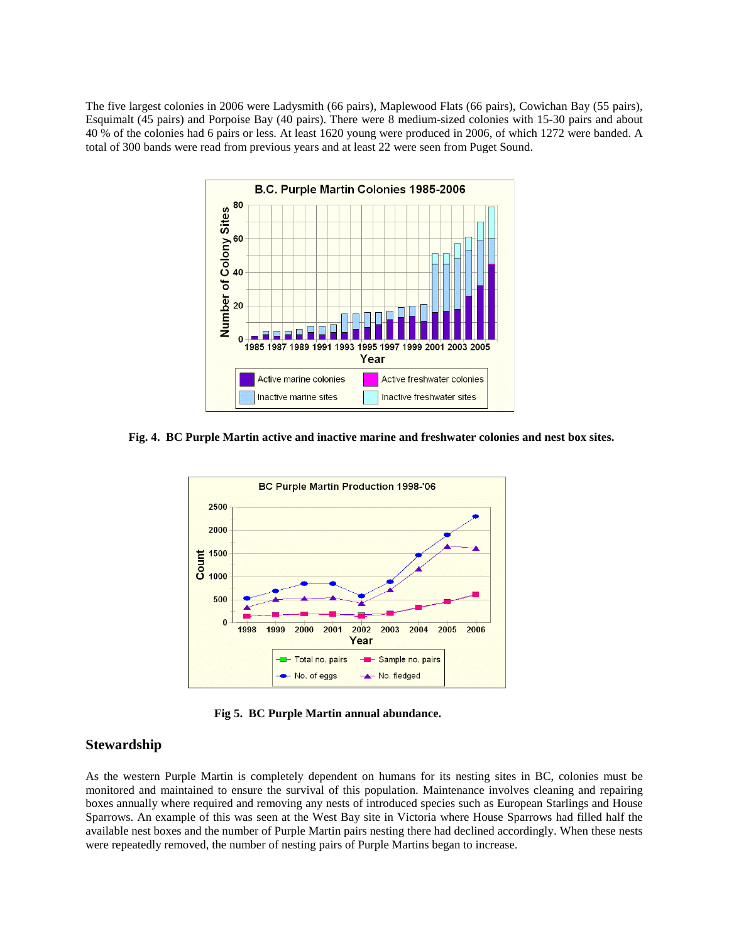The five largest colonies in 2006 were Ladysmith (66 pairs), Maplewood Flats (66 pairs), Cowichan Bay (55 pairs), Esquimalt (45 pairs) and Porpoise Bay (40 pairs). There were 8 medium-sized colonies with 15-30 pairs and about 40 % of the colonies had 6 pairs or less. At least 1620 young were produced in 2006, of which 1272 were banded. A total of 300 bands were read from previous years and at least 22 were seen from Puget Sound.



**Fig. 4. BC Purple Martin active and inactive marine and freshwater colonies and nest box sites.**



**Fig 5. BC Purple Martin annual abundance.** 

# **Stewardship**

As the western Purple Martin is completely dependent on humans for its nesting sites in BC, colonies must be monitored and maintained to ensure the survival of this population. Maintenance involves cleaning and repairing boxes annually where required and removing any nests of introduced species such as European Starlings and House Sparrows. An example of this was seen at the West Bay site in Victoria where House Sparrows had filled half the available nest boxes and the number of Purple Martin pairs nesting there had declined accordingly. When these nests were repeatedly removed, the number of nesting pairs of Purple Martins began to increase.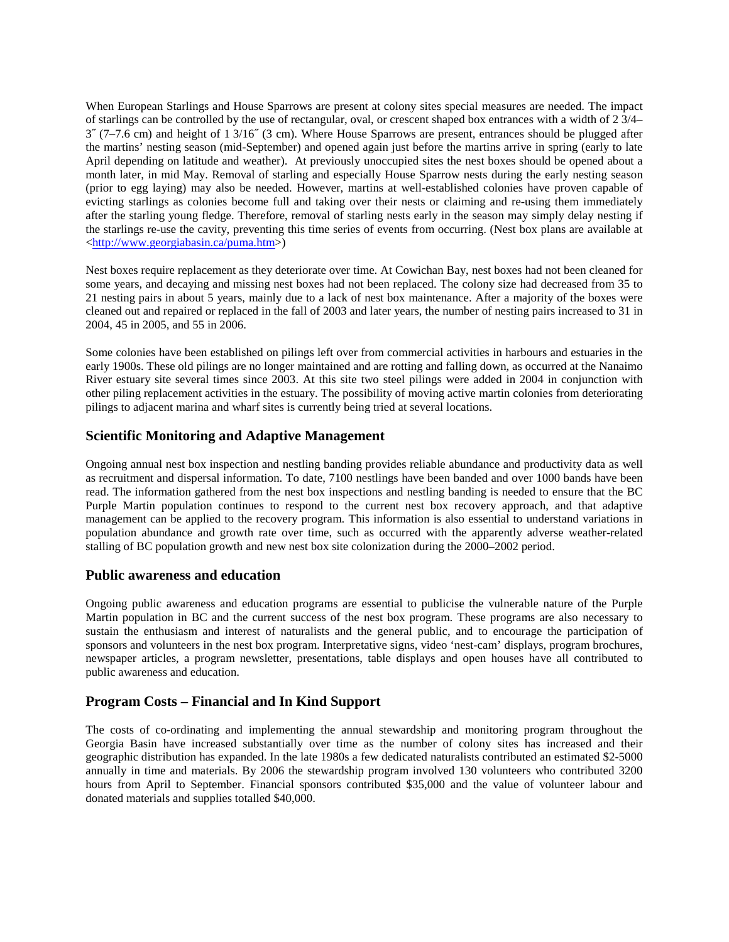When European Starlings and House Sparrows are present at colony sites special measures are needed. The impact of starlings can be controlled by the use of rectangular, oval, or crescent shaped box entrances with a width of 2 3/4– 3˝ (7–7.6 cm) and height of 1 3/16˝ (3 cm). Where House Sparrows are present, entrances should be plugged after the martins' nesting season (mid-September) and opened again just before the martins arrive in spring (early to late April depending on latitude and weather). At previously unoccupied sites the nest boxes should be opened about a month later, in mid May. Removal of starling and especially House Sparrow nests during the early nesting season (prior to egg laying) may also be needed. However, martins at well-established colonies have proven capable of evicting starlings as colonies become full and taking over their nests or claiming and re-using them immediately after the starling young fledge. Therefore, removal of starling nests early in the season may simply delay nesting if t[he starlings re-use the cavity, preventin](http://www.georgiabasin.ca/puma.htm)g this time series of events from occurring. (Nest box plans are available at <http://www.georgiabasin.ca/puma.htm>)

Nest boxes require replacement as they deteriorate over time. At Cowichan Bay, nest boxes had not been cleaned for some years, and decaying and missing nest boxes had not been replaced. The colony size had decreased from 35 to 21 nesting pairs in about 5 years, mainly due to a lack of nest box maintenance. After a majority of the boxes were cleaned out and repaired or replaced in the fall of 2003 and later years, the number of nesting pairs increased to 31 in 2004, 45 in 2005, and 55 in 2006.

Some colonies have been established on pilings left over from commercial activities in harbours and estuaries in the early 1900s. These old pilings are no longer maintained and are rotting and falling down, as occurred at the Nanaimo River estuary site several times since 2003. At this site two steel pilings were added in 2004 in conjunction with other piling replacement activities in the estuary. The possibility of moving active martin colonies from deteriorating pilings to adjacent marina and wharf sites is currently being tried at several locations.

# **Scientific Monitoring and Adaptive Management**

Ongoing annual nest box inspection and nestling banding provides reliable abundance and productivity data as well as recruitment and dispersal information. To date, 7100 nestlings have been banded and over 1000 bands have been read. The information gathered from the nest box inspections and nestling banding is needed to ensure that the BC Purple Martin population continues to respond to the current nest box recovery approach, and that adaptive management can be applied to the recovery program. This information is also essential to understand variations in population abundance and growth rate over time, such as occurred with the apparently adverse weather-related stalling of BC population growth and new nest box site colonization during the 2000–2002 period.

#### **Public awareness and education**

Ongoing public awareness and education programs are essential to publicise the vulnerable nature of the Purple Martin population in BC and the current success of the nest box program. These programs are also necessary to sustain the enthusiasm and interest of naturalists and the general public, and to encourage the participation of sponsors and volunteers in the nest box program. Interpretative signs, video 'nest-cam' displays, program brochures, newspaper articles, a program newsletter, presentations, table displays and open houses have all contributed to public awareness and education.

# **Program Costs – Financial and In Kind Support**

The costs of co-ordinating and implementing the annual stewardship and monitoring program throughout the Georgia Basin have increased substantially over time as the number of colony sites has increased and their geographic distribution has expanded. In the late 1980s a few dedicated naturalists contributed an estimated \$2-5000 annually in time and materials. By 2006 the stewardship program involved 130 volunteers who contributed 3200 hours from April to September. Financial sponsors contributed \$35,000 and the value of volunteer labour and donated materials and supplies totalled \$40,000.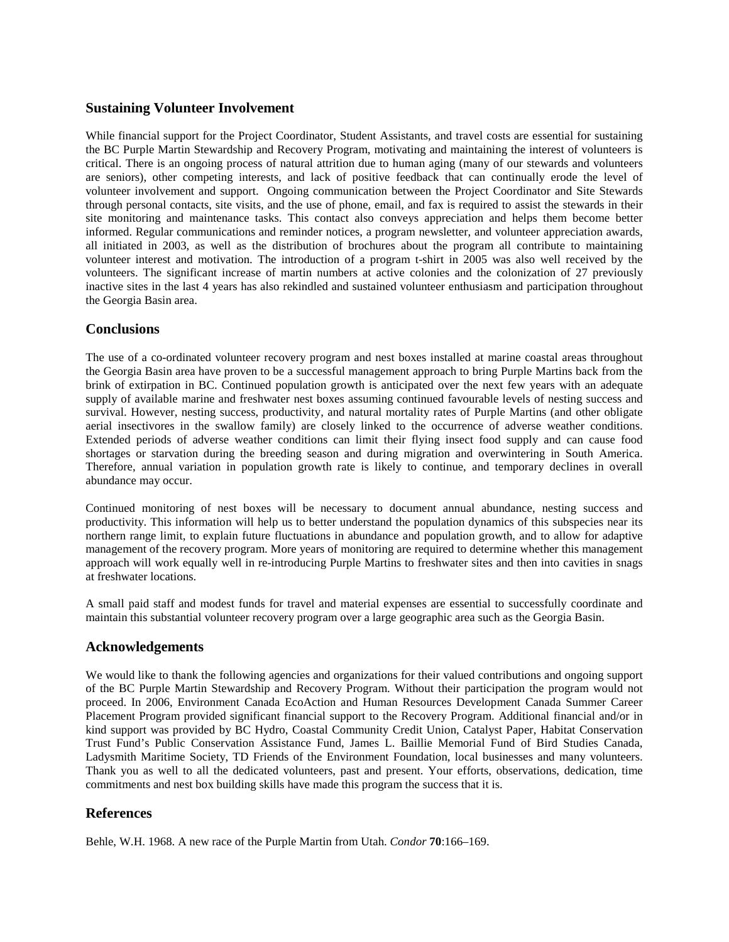# **Sustaining Volunteer Involvement**

While financial support for the Project Coordinator, Student Assistants, and travel costs are essential for sustaining the BC Purple Martin Stewardship and Recovery Program, motivating and maintaining the interest of volunteers is critical. There is an ongoing process of natural attrition due to human aging (many of our stewards and volunteers are seniors), other competing interests, and lack of positive feedback that can continually erode the level of volunteer involvement and support. Ongoing communication between the Project Coordinator and Site Stewards through personal contacts, site visits, and the use of phone, email, and fax is required to assist the stewards in their site monitoring and maintenance tasks. This contact also conveys appreciation and helps them become better informed. Regular communications and reminder notices, a program newsletter, and volunteer appreciation awards, all initiated in 2003, as well as the distribution of brochures about the program all contribute to maintaining volunteer interest and motivation. The introduction of a program t-shirt in 2005 was also well received by the volunteers. The significant increase of martin numbers at active colonies and the colonization of 27 previously inactive sites in the last 4 years has also rekindled and sustained volunteer enthusiasm and participation throughout the Georgia Basin area.

# **Conclusions**

The use of a co-ordinated volunteer recovery program and nest boxes installed at marine coastal areas throughout the Georgia Basin area have proven to be a successful management approach to bring Purple Martins back from the brink of extirpation in BC. Continued population growth is anticipated over the next few years with an adequate supply of available marine and freshwater nest boxes assuming continued favourable levels of nesting success and survival. However, nesting success, productivity, and natural mortality rates of Purple Martins (and other obligate aerial insectivores in the swallow family) are closely linked to the occurrence of adverse weather conditions. Extended periods of adverse weather conditions can limit their flying insect food supply and can cause food shortages or starvation during the breeding season and during migration and overwintering in South America. Therefore, annual variation in population growth rate is likely to continue, and temporary declines in overall abundance may occur.

Continued monitoring of nest boxes will be necessary to document annual abundance, nesting success and productivity. This information will help us to better understand the population dynamics of this subspecies near its northern range limit, to explain future fluctuations in abundance and population growth, and to allow for adaptive management of the recovery program. More years of monitoring are required to determine whether this management approach will work equally well in re-introducing Purple Martins to freshwater sites and then into cavities in snags at freshwater locations.

A small paid staff and modest funds for travel and material expenses are essential to successfully coordinate and maintain this substantial volunteer recovery program over a large geographic area such as the Georgia Basin.

# **Acknowledgements**

We would like to thank the following agencies and organizations for their valued contributions and ongoing support of the BC Purple Martin Stewardship and Recovery Program. Without their participation the program would not proceed. In 2006, Environment Canada EcoAction and Human Resources Development Canada Summer Career Placement Program provided significant financial support to the Recovery Program. Additional financial and/or in kind support was provided by BC Hydro, Coastal Community Credit Union, Catalyst Paper, Habitat Conservation Trust Fund's Public Conservation Assistance Fund, James L. Baillie Memorial Fund of Bird Studies Canada, Ladysmith Maritime Society, TD Friends of the Environment Foundation, local businesses and many volunteers. Thank you as well to all the dedicated volunteers, past and present. Your efforts, observations, dedication, time commitments and nest box building skills have made this program the success that it is.

# **References**

Behle, W.H. 1968. A new race of the Purple Martin from Utah. *Condor* **70**:166–169.